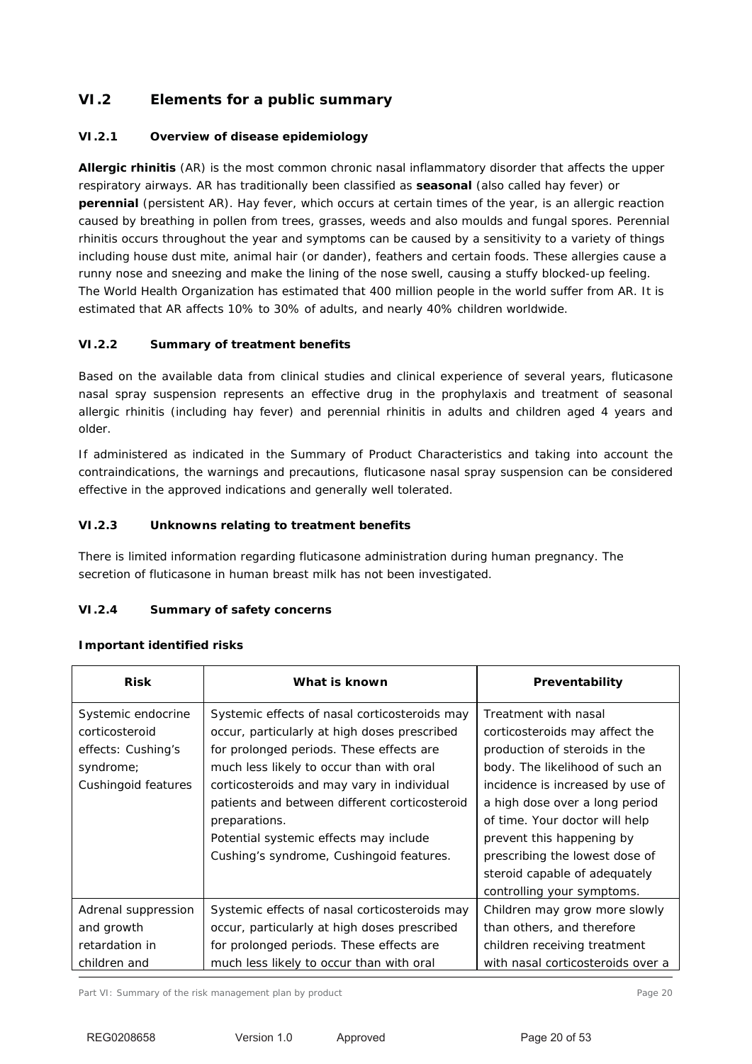# **VI.2 Elements for a public summary**

### **VI.2.1 Overview of disease epidemiology**

**Allergic rhinitis** (AR) is the most common chronic nasal inflammatory disorder that affects the upper respiratory airways. AR has traditionally been classified as **seasonal** (also called hay fever) or **perennial** (persistent AR). Hay fever, which occurs at certain times of the year, is an allergic reaction caused by breathing in pollen from trees, grasses, weeds and also moulds and fungal spores. Perennial rhinitis occurs throughout the year and symptoms can be caused by a sensitivity to a variety of things including house dust mite, animal hair (or dander), feathers and certain foods. These allergies cause a runny nose and sneezing and make the lining of the nose swell, causing a stuffy blocked-up feeling. The World Health Organization has estimated that 400 million people in the world suffer from AR. It is estimated that AR affects 10% to 30% of adults, and nearly 40% children worldwide.

### **VI.2.2 Summary of treatment benefits**

Based on the available data from clinical studies and clinical experience of several years, fluticasone nasal spray suspension represents an effective drug in the prophylaxis and treatment of seasonal allergic rhinitis (including hay fever) and perennial rhinitis in adults and children aged 4 years and older.

If administered as indicated in the Summary of Product Characteristics and taking into account the contraindications, the warnings and precautions, fluticasone nasal spray suspension can be considered effective in the approved indications and generally well tolerated.

### **VI.2.3 Unknowns relating to treatment benefits**

There is limited information regarding fluticasone administration during human pregnancy. The secretion of fluticasone in human breast milk has not been investigated.

### **VI.2.4 Summary of safety concerns**

### **Important identified risks**

| <b>Risk</b>                                                                                    | What is known                                                                                                                                                                                                                                                                                                                                                                               | Preventability                                                                                                                                                                                                                                                                                                                     |
|------------------------------------------------------------------------------------------------|---------------------------------------------------------------------------------------------------------------------------------------------------------------------------------------------------------------------------------------------------------------------------------------------------------------------------------------------------------------------------------------------|------------------------------------------------------------------------------------------------------------------------------------------------------------------------------------------------------------------------------------------------------------------------------------------------------------------------------------|
| Systemic endocrine<br>corticosteroid<br>effects: Cushing's<br>syndrome;<br>Cushingoid features | Systemic effects of nasal corticosteroids may<br>occur, particularly at high doses prescribed<br>for prolonged periods. These effects are<br>much less likely to occur than with oral<br>corticosteroids and may vary in individual<br>patients and between different corticosteroid<br>preparations.<br>Potential systemic effects may include<br>Cushing's syndrome, Cushingoid features. | Treatment with nasal<br>corticosteroids may affect the<br>production of steroids in the<br>body. The likelihood of such an<br>incidence is increased by use of<br>a high dose over a long period<br>of time. Your doctor will help<br>prevent this happening by<br>prescribing the lowest dose of<br>steroid capable of adequately |
| Adrenal suppression                                                                            | Systemic effects of nasal corticosteroids may                                                                                                                                                                                                                                                                                                                                               | controlling your symptoms.<br>Children may grow more slowly                                                                                                                                                                                                                                                                        |
| and growth                                                                                     | occur, particularly at high doses prescribed                                                                                                                                                                                                                                                                                                                                                | than others, and therefore                                                                                                                                                                                                                                                                                                         |
| retardation in                                                                                 | for prolonged periods. These effects are                                                                                                                                                                                                                                                                                                                                                    | children receiving treatment                                                                                                                                                                                                                                                                                                       |
| children and                                                                                   | much less likely to occur than with oral                                                                                                                                                                                                                                                                                                                                                    | with nasal corticosteroids over a                                                                                                                                                                                                                                                                                                  |

Part VI: Summary of the risk management plan by product Page 20 and Page 20 and Page 20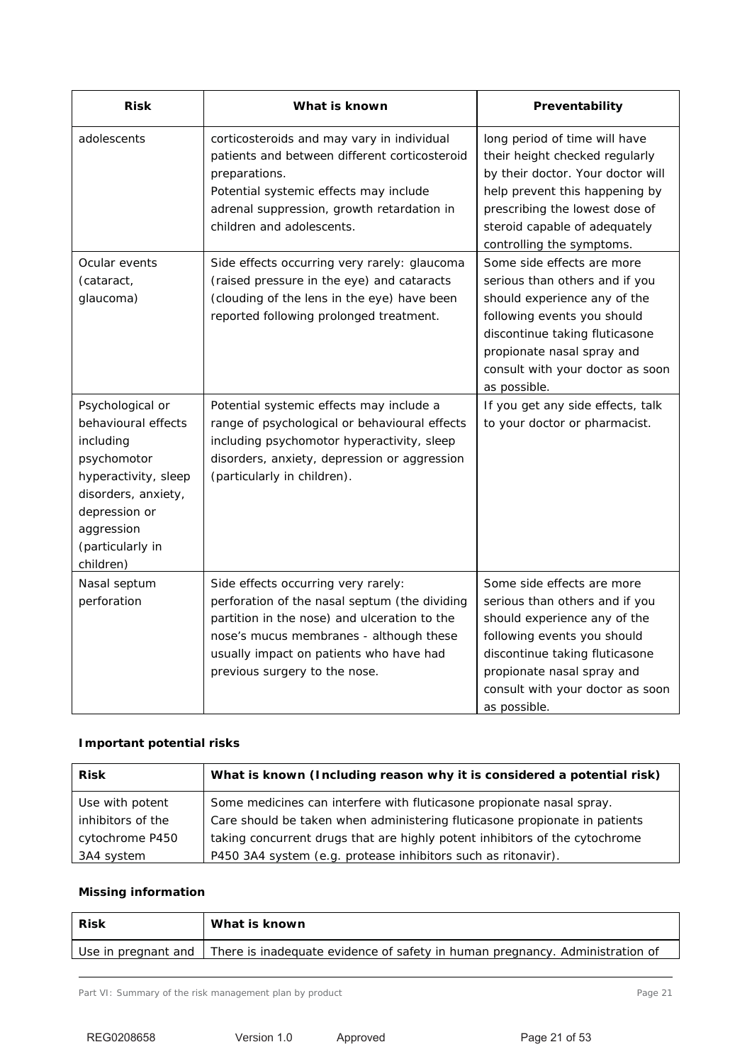| <b>Risk</b>                                                                                                                                                                        | What is known                                                                                                                                                                                                                                               | Preventability                                                                                                                                                                                                                                  |
|------------------------------------------------------------------------------------------------------------------------------------------------------------------------------------|-------------------------------------------------------------------------------------------------------------------------------------------------------------------------------------------------------------------------------------------------------------|-------------------------------------------------------------------------------------------------------------------------------------------------------------------------------------------------------------------------------------------------|
| adolescents                                                                                                                                                                        | corticosteroids and may vary in individual<br>patients and between different corticosteroid<br>preparations.<br>Potential systemic effects may include<br>adrenal suppression, growth retardation in<br>children and adolescents.                           | long period of time will have<br>their height checked regularly<br>by their doctor. Your doctor will<br>help prevent this happening by<br>prescribing the lowest dose of<br>steroid capable of adequately<br>controlling the symptoms.          |
| Ocular events<br>(cataract,<br>glaucoma)                                                                                                                                           | Side effects occurring very rarely: glaucoma<br>(raised pressure in the eye) and cataracts<br>(clouding of the lens in the eye) have been<br>reported following prolonged treatment.                                                                        | Some side effects are more<br>serious than others and if you<br>should experience any of the<br>following events you should<br>discontinue taking fluticasone<br>propionate nasal spray and<br>consult with your doctor as soon<br>as possible. |
| Psychological or<br>behavioural effects<br>including<br>psychomotor<br>hyperactivity, sleep<br>disorders, anxiety,<br>depression or<br>aggression<br>(particularly in<br>children) | Potential systemic effects may include a<br>range of psychological or behavioural effects<br>including psychomotor hyperactivity, sleep<br>disorders, anxiety, depression or aggression<br>(particularly in children).                                      | If you get any side effects, talk<br>to your doctor or pharmacist.                                                                                                                                                                              |
| Nasal septum<br>perforation                                                                                                                                                        | Side effects occurring very rarely:<br>perforation of the nasal septum (the dividing<br>partition in the nose) and ulceration to the<br>nose's mucus membranes - although these<br>usually impact on patients who have had<br>previous surgery to the nose. | Some side effects are more<br>serious than others and if you<br>should experience any of the<br>following events you should<br>discontinue taking fluticasone<br>propionate nasal spray and<br>consult with your doctor as soon<br>as possible. |

### **Important potential risks**

| <b>Risk</b>       | What is known (Including reason why it is considered a potential risk)      |
|-------------------|-----------------------------------------------------------------------------|
| Use with potent   | Some medicines can interfere with fluticasone propionate nasal spray.       |
| inhibitors of the | Care should be taken when administering fluticasone propionate in patients  |
| cytochrome P450   | taking concurrent drugs that are highly potent inhibitors of the cytochrome |
| 3A4 system        | P450 3A4 system (e.g. protease inhibitors such as ritonavir).               |

## **Missing information**

| Risk                | What is known                                                                |
|---------------------|------------------------------------------------------------------------------|
| Use in pregnant and | There is inadequate evidence of safety in human pregnancy. Administration of |
|                     |                                                                              |

Part VI: Summary of the risk management plan by product example 21 and 21 and 21 and 21 and 21 and 21 and 21 and 21 and 21 and 21 and 21 and 21 and 22 and 22 and 22 and 22 and 22 and 22 and 22 and 22 and 22 and 22 and 22 a